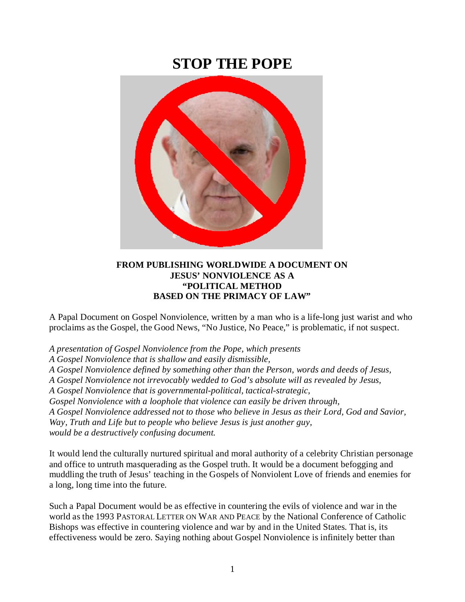## **STOP THE POPE**



## **FROM PUBLISHING WORLDWIDE A DOCUMENT ON JESUS' NONVIOLENCE AS A "POLITICAL METHOD BASED ON THE PRIMACY OF LAW"**

A Papal Document on Gospel Nonviolence, written by a man who is a life-long just warist and who proclaims as the Gospel, the Good News, "No Justice, No Peace," is problematic, if not suspect.

*A presentation of Gospel Nonviolence from the Pope, which presents*

*A Gospel Nonviolence that is shallow and easily dismissible,*

*A Gospel Nonviolence defined by something other than the Person, words and deeds of Jesus,* 

*A Gospel Nonviolence not irrevocably wedded to God's absolute will as revealed by Jesus,* 

*A Gospel Nonviolence that is governmental-political, tactical-strategic,*

*Gospel Nonviolence with a loophole that violence can easily be driven through,* 

*A Gospel Nonviolence addressed not to those who believe in Jesus as their Lord, God and Savior, Way, Truth and Life but to people who believe Jesus is just another guy, would be a destructively confusing document.*

It would lend the culturally nurtured spiritual and moral authority of a celebrity Christian personage and office to untruth masquerading as the Gospel truth. It would be a document befogging and muddling the truth of Jesus' teaching in the Gospels of Nonviolent Love of friends and enemies for a long, long time into the future.

Such a Papal Document would be as effective in countering the evils of violence and war in the world as the 1993 PASTORAL LETTER ON WAR AND PEACE by the National Conference of Catholic Bishops was effective in countering violence and war by and in the United States. That is, its effectiveness would be zero. Saying nothing about Gospel Nonviolence is infinitely better than